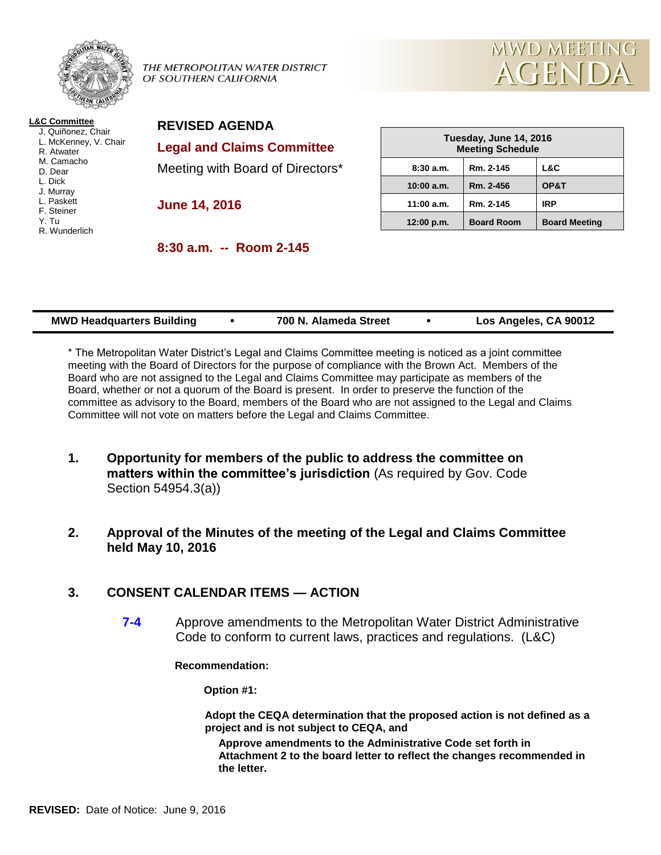

THE METROPOLITAN WATER DISTRICT OF SOUTHERN CALIFORNIA



**L&C Committee** J. Quiñonez, Chair L. McKenney, V. Chair R. Atwater M. Camacho D. Dear L. Dick J. Murray L. Paskett F. Steiner Y. Tu R. Wunderlich

**REVISED AGENDA Legal and Claims Committee** Meeting with Board of Directors\*

**June 14, 2016**

**8:30 a.m. -- Room 2-145**

| Tuesday, June 14, 2016<br><b>Meeting Schedule</b> |                   |                      |  |  |
|---------------------------------------------------|-------------------|----------------------|--|--|
| 8:30a.m.                                          | Rm. 2-145         | L&C                  |  |  |
| 10:00 a.m.                                        | Rm. 2-456         | OP&T                 |  |  |
| 11:00 a.m.                                        | Rm. 2-145         | <b>IRP</b>           |  |  |
| 12:00 p.m.                                        | <b>Board Room</b> | <b>Board Meeting</b> |  |  |

| <b>MWD Headquarters Building</b> |  | 700 N. Alameda Street |  | Los Angeles, CA 90012 |
|----------------------------------|--|-----------------------|--|-----------------------|
|----------------------------------|--|-----------------------|--|-----------------------|

\* The Metropolitan Water District's Legal and Claims Committee meeting is noticed as a joint committee meeting with the Board of Directors for the purpose of compliance with the Brown Act. Members of the Board who are not assigned to the Legal and Claims Committee may participate as members of the Board, whether or not a quorum of the Board is present. In order to preserve the function of the committee as advisory to the Board, members of the Board who are not assigned to the Legal and Claims Committee will not vote on matters before the Legal and Claims Committee.

- **1. Opportunity for members of the public to address the committee on matters within the committee's jurisdiction** (As required by Gov. Code Section 54954.3(a))
- **2. Approval of the Minutes of the meeting of the Legal and Claims Committee held May 10, 2016**

## **3. CONSENT CALENDAR ITEMS — ACTION**

**7-4** Approve amendments to the Metropolitan Water District Administrative Code to conform to current laws, practices and regulations. (L&C)

**Recommendation:**

**Option #1:**

**Adopt the CEQA determination that the proposed action is not defined as a project and is not subject to CEQA, and**

**Approve amendments to the Administrative Code set forth in Attachment 2 to the board letter to reflect the changes recommended in the letter.**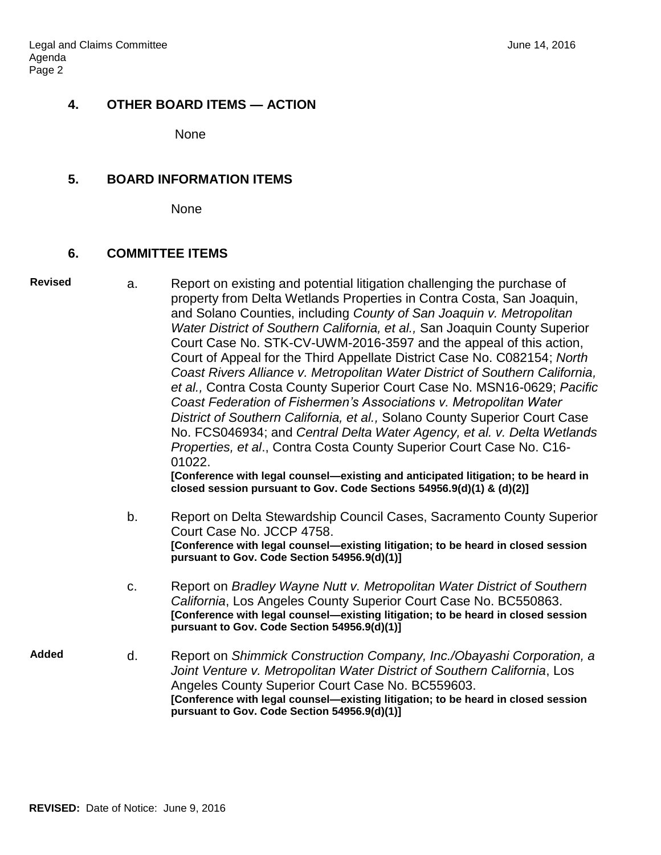### **4. OTHER BOARD ITEMS — ACTION**

None

### **5. BOARD INFORMATION ITEMS**

None

# **6. COMMITTEE ITEMS**

| <b>Revised</b> | a. | Report on existing and potential litigation challenging the purchase of<br>property from Delta Wetlands Properties in Contra Costa, San Joaquin,<br>and Solano Counties, including County of San Joaquin v. Metropolitan<br>Water District of Southern California, et al., San Joaquin County Superior<br>Court Case No. STK-CV-UWM-2016-3597 and the appeal of this action,<br>Court of Appeal for the Third Appellate District Case No. C082154; North<br>Coast Rivers Alliance v. Metropolitan Water District of Southern California,<br>et al., Contra Costa County Superior Court Case No. MSN16-0629; Pacific<br>Coast Federation of Fishermen's Associations v. Metropolitan Water<br>District of Southern California, et al., Solano County Superior Court Case<br>No. FCS046934; and Central Delta Water Agency, et al. v. Delta Wetlands<br>Properties, et al., Contra Costa County Superior Court Case No. C16-<br>01022.<br>[Conference with legal counsel—existing and anticipated litigation; to be heard in<br>closed session pursuant to Gov. Code Sections 54956.9(d)(1) & (d)(2)] |
|----------------|----|-----------------------------------------------------------------------------------------------------------------------------------------------------------------------------------------------------------------------------------------------------------------------------------------------------------------------------------------------------------------------------------------------------------------------------------------------------------------------------------------------------------------------------------------------------------------------------------------------------------------------------------------------------------------------------------------------------------------------------------------------------------------------------------------------------------------------------------------------------------------------------------------------------------------------------------------------------------------------------------------------------------------------------------------------------------------------------------------------------|
|                | b. | Report on Delta Stewardship Council Cases, Sacramento County Superior<br>Court Case No. JCCP 4758.<br>[Conference with legal counsel-existing litigation; to be heard in closed session<br>pursuant to Gov. Code Section 54956.9(d)(1)]                                                                                                                                                                                                                                                                                                                                                                                                                                                                                                                                                                                                                                                                                                                                                                                                                                                             |
|                | C. | Report on Bradley Wayne Nutt v. Metropolitan Water District of Southern<br>California, Los Angeles County Superior Court Case No. BC550863.<br>[Conference with legal counsel-existing litigation; to be heard in closed session<br>pursuant to Gov. Code Section 54956.9(d)(1)]                                                                                                                                                                                                                                                                                                                                                                                                                                                                                                                                                                                                                                                                                                                                                                                                                    |
| <b>Added</b>   | d. | Report on Shimmick Construction Company, Inc./Obayashi Corporation, a<br>Joint Venture v. Metropolitan Water District of Southern California, Los<br>Angeles County Superior Court Case No. BC559603.<br>[Conference with legal counsel—existing litigation; to be heard in closed session<br>pursuant to Gov. Code Section 54956.9(d)(1)]                                                                                                                                                                                                                                                                                                                                                                                                                                                                                                                                                                                                                                                                                                                                                          |